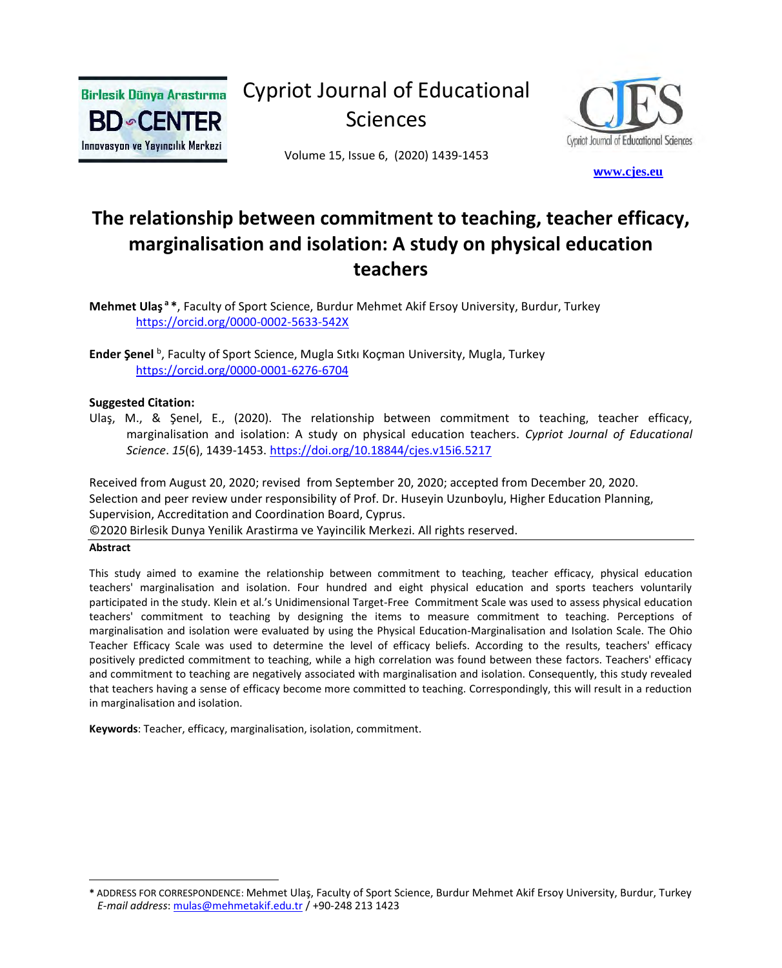

Cypriot Journal of Educational Sciences

Volume 15, Issue 6, (2020) 1439-1453



 **[w](http://www.cjes.eu/)[ww.cjes.eu](http://www.cjes.eu/)**

# **The relationship between commitment to teaching, teacher efficacy, marginalisation and isolation: A study on physical education teachers**

**Mehmet Ulaş <sup>a</sup> \***, Faculty of Sport Science, Burdur Mehmet Akif Ersoy University, Burdur, Turkey <https://orcid.org/0000-0002-5633-542X>

**Ender Şenel** <sup>b</sup> , Faculty of Sport Science, Mugla Sıtkı Koçman University, Mugla, Turkey <https://orcid.org/0000-0001-6276-6704>

#### **Suggested Citation:**

Ulaş, M., & Şenel, E., (2020). The relationship between commitment to teaching, teacher efficacy, marginalisation and isolation: A study on physical education teachers. *Cypriot Journal of Educational Science*. *15*(6), 1439-1453. <https://doi.org/10.18844/cjes.v15i6.5217>

Received from August 20, 2020; revised from September 20, 2020; accepted from December 20, 2020. Selection and peer review under responsibility of Prof. Dr. Huseyin Uzunboylu, Higher Education Planning, Supervision, Accreditation and Coordination Board, Cyprus. ©2020 Birlesik Dunya Yenilik Arastirma ve Yayincilik Merkezi. All rights reserved.

#### **Abstract**

This study aimed to examine the relationship between commitment to teaching, teacher efficacy, physical education teachers' marginalisation and isolation. Four hundred and eight physical education and sports teachers voluntarily participated in the study. Klein et al.'s Unidimensional Target-Free Commitment Scale was used to assess physical education teachers' commitment to teaching by designing the items to measure commitment to teaching. Perceptions of marginalisation and isolation were evaluated by using the Physical Education-Marginalisation and Isolation Scale. The Ohio Teacher Efficacy Scale was used to determine the level of efficacy beliefs. According to the results, teachers' efficacy positively predicted commitment to teaching, while a high correlation was found between these factors. Teachers' efficacy and commitment to teaching are negatively associated with marginalisation and isolation. Consequently, this study revealed that teachers having a sense of efficacy become more committed to teaching. Correspondingly, this will result in a reduction in marginalisation and isolation.

**Keywords**: Teacher, efficacy, marginalisation, isolation, commitment.

**<sup>\*</sup>** ADDRESS FOR CORRESPONDENCE: Mehmet Ulaş, Faculty of Sport Science, Burdur Mehmet Akif Ersoy University, Burdur, Turkey  *E-mail address*: [mulas@mehmetakif.edu.tr](mailto:mulas@mehmetakif.edu.tr) / +90-248 213 1423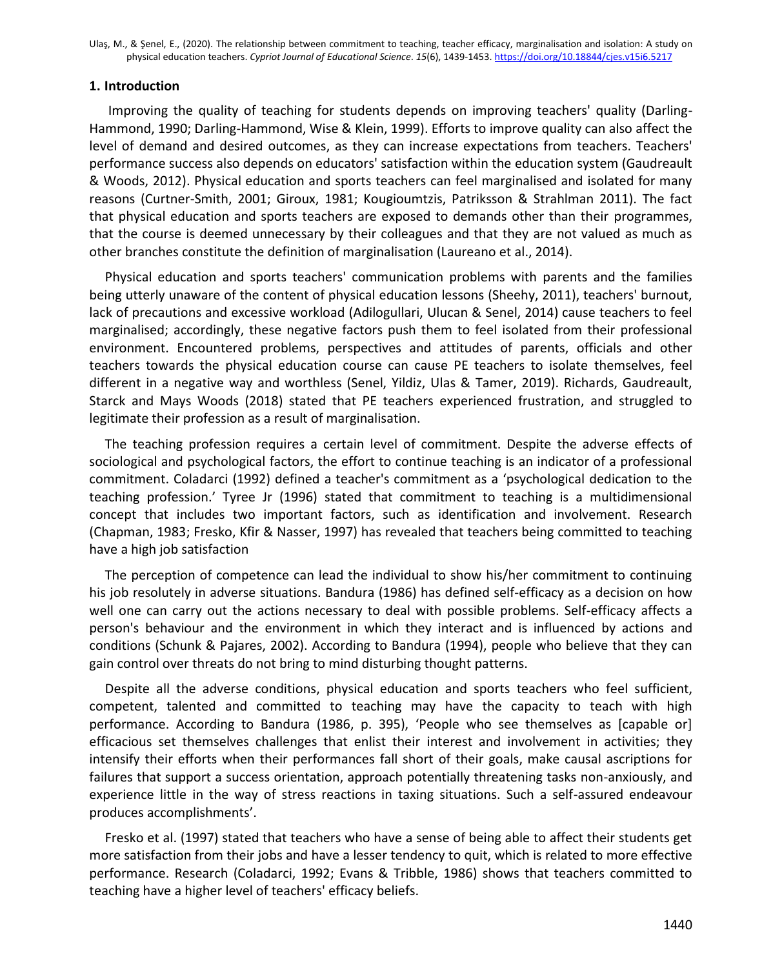### **1. Introduction**

Improving the quality of teaching for students depends on improving teachers' quality (Darling-Hammond, 1990; Darling-Hammond, Wise & Klein, 1999). Efforts to improve quality can also affect the level of demand and desired outcomes, as they can increase expectations from teachers. Teachers' performance success also depends on educators' satisfaction within the education system (Gaudreault & Woods, 2012). Physical education and sports teachers can feel marginalised and isolated for many reasons (Curtner-Smith, 2001; Giroux, 1981; Kougioumtzis, Patriksson & Strahlman 2011). The fact that physical education and sports teachers are exposed to demands other than their programmes, that the course is deemed unnecessary by their colleagues and that they are not valued as much as other branches constitute the definition of marginalisation (Laureano et al., 2014).

Physical education and sports teachers' communication problems with parents and the families being utterly unaware of the content of physical education lessons (Sheehy, 2011), teachers' burnout, lack of precautions and excessive workload (Adilogullari, Ulucan & Senel, 2014) cause teachers to feel marginalised; accordingly, these negative factors push them to feel isolated from their professional environment. Encountered problems, perspectives and attitudes of parents, officials and other teachers towards the physical education course can cause PE teachers to isolate themselves, feel different in a negative way and worthless (Senel, Yildiz, Ulas & Tamer, 2019). Richards, Gaudreault, Starck and Mays Woods (2018) stated that PE teachers experienced frustration, and struggled to legitimate their profession as a result of marginalisation.

The teaching profession requires a certain level of commitment. Despite the adverse effects of sociological and psychological factors, the effort to continue teaching is an indicator of a professional commitment. Coladarci (1992) defined a teacher's commitment as a 'psychological dedication to the teaching profession.' Tyree Jr (1996) stated that commitment to teaching is a multidimensional concept that includes two important factors, such as identification and involvement. Research (Chapman, 1983; Fresko, Kfir & Nasser, 1997) has revealed that teachers being committed to teaching have a high job satisfaction

The perception of competence can lead the individual to show his/her commitment to continuing his job resolutely in adverse situations. Bandura (1986) has defined self-efficacy as a decision on how well one can carry out the actions necessary to deal with possible problems. Self-efficacy affects a person's behaviour and the environment in which they interact and is influenced by actions and conditions (Schunk & Pajares, 2002). According to Bandura (1994), people who believe that they can gain control over threats do not bring to mind disturbing thought patterns.

Despite all the adverse conditions, physical education and sports teachers who feel sufficient, competent, talented and committed to teaching may have the capacity to teach with high performance. According to Bandura (1986, p. 395), 'People who see themselves as [capable or] efficacious set themselves challenges that enlist their interest and involvement in activities; they intensify their efforts when their performances fall short of their goals, make causal ascriptions for failures that support a success orientation, approach potentially threatening tasks non-anxiously, and experience little in the way of stress reactions in taxing situations. Such a self-assured endeavour produces accomplishments'.

Fresko et al. (1997) stated that teachers who have a sense of being able to affect their students get more satisfaction from their jobs and have a lesser tendency to quit, which is related to more effective performance. Research (Coladarci, 1992; Evans & Tribble, 1986) shows that teachers committed to teaching have a higher level of teachers' efficacy beliefs.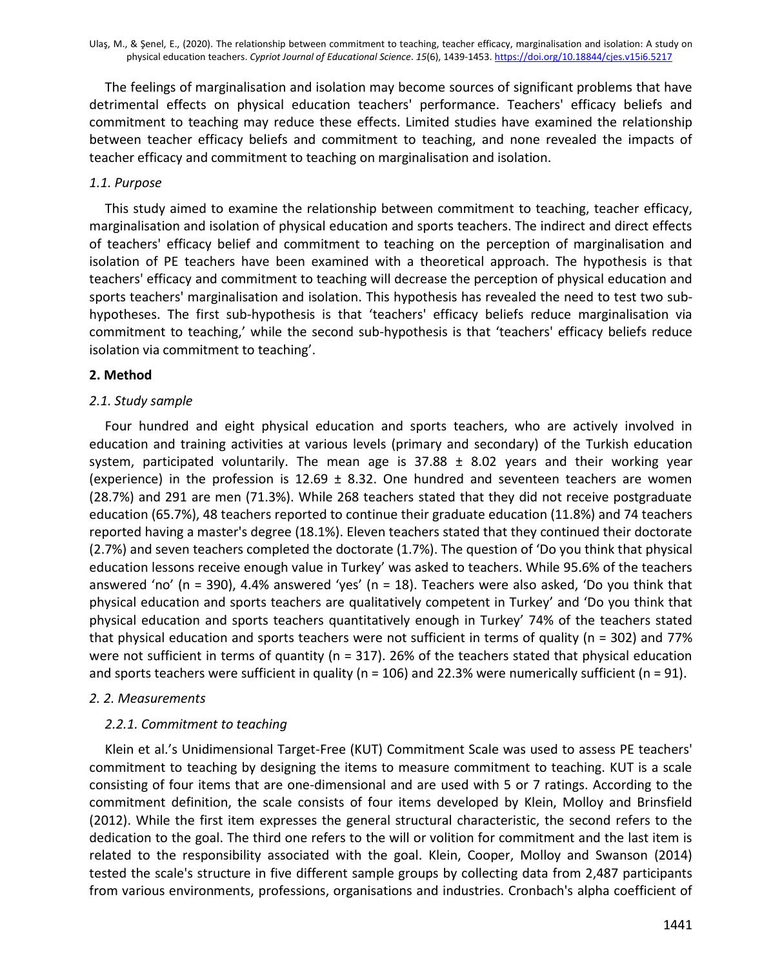The feelings of marginalisation and isolation may become sources of significant problems that have detrimental effects on physical education teachers' performance. Teachers' efficacy beliefs and commitment to teaching may reduce these effects. Limited studies have examined the relationship between teacher efficacy beliefs and commitment to teaching, and none revealed the impacts of teacher efficacy and commitment to teaching on marginalisation and isolation.

# *1.1. Purpose*

This study aimed to examine the relationship between commitment to teaching, teacher efficacy, marginalisation and isolation of physical education and sports teachers. The indirect and direct effects of teachers' efficacy belief and commitment to teaching on the perception of marginalisation and isolation of PE teachers have been examined with a theoretical approach. The hypothesis is that teachers' efficacy and commitment to teaching will decrease the perception of physical education and sports teachers' marginalisation and isolation. This hypothesis has revealed the need to test two subhypotheses. The first sub-hypothesis is that 'teachers' efficacy beliefs reduce marginalisation via commitment to teaching,' while the second sub-hypothesis is that 'teachers' efficacy beliefs reduce isolation via commitment to teaching'.

# **2. Method**

# *2.1. Study sample*

Four hundred and eight physical education and sports teachers, who are actively involved in education and training activities at various levels (primary and secondary) of the Turkish education system, participated voluntarily. The mean age is  $37.88 \pm 8.02$  years and their working year (experience) in the profession is  $12.69 \pm 8.32$ . One hundred and seventeen teachers are women (28.7%) and 291 are men (71.3%). While 268 teachers stated that they did not receive postgraduate education (65.7%), 48 teachers reported to continue their graduate education (11.8%) and 74 teachers reported having a master's degree (18.1%). Eleven teachers stated that they continued their doctorate (2.7%) and seven teachers completed the doctorate (1.7%). The question of 'Do you think that physical education lessons receive enough value in Turkey' was asked to teachers. While 95.6% of the teachers answered 'no' (n = 390), 4.4% answered 'yes' (n = 18). Teachers were also asked, 'Do you think that physical education and sports teachers are qualitatively competent in Turkey' and 'Do you think that physical education and sports teachers quantitatively enough in Turkey' 74% of the teachers stated that physical education and sports teachers were not sufficient in terms of quality (n = 302) and 77% were not sufficient in terms of quantity ( $n = 317$ ). 26% of the teachers stated that physical education and sports teachers were sufficient in quality ( $n = 106$ ) and 22.3% were numerically sufficient ( $n = 91$ ).

## *2. 2. Measurements*

# *2.2.1. Commitment to teaching*

Klein et al.'s Unidimensional Target-Free (KUT) Commitment Scale was used to assess PE teachers' commitment to teaching by designing the items to measure commitment to teaching. KUT is a scale consisting of four items that are one-dimensional and are used with 5 or 7 ratings. According to the commitment definition, the scale consists of four items developed by Klein, Molloy and Brinsfield (2012). While the first item expresses the general structural characteristic, the second refers to the dedication to the goal. The third one refers to the will or volition for commitment and the last item is related to the responsibility associated with the goal. Klein, Cooper, Molloy and Swanson (2014) tested the scale's structure in five different sample groups by collecting data from 2,487 participants from various environments, professions, organisations and industries. Cronbach's alpha coefficient of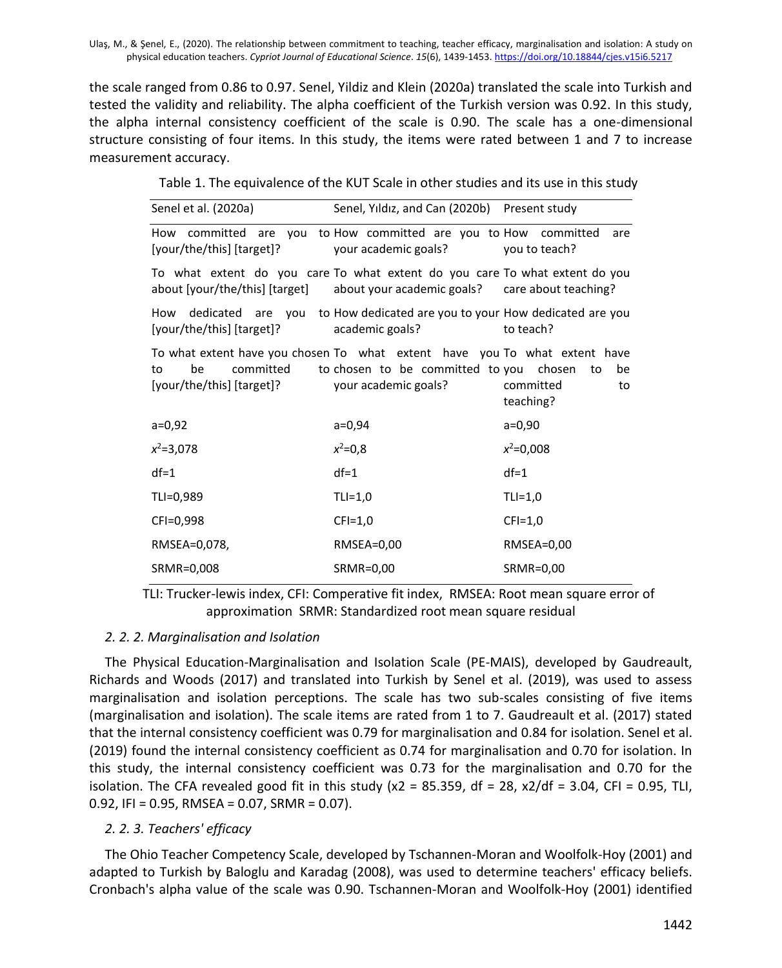the scale ranged from 0.86 to 0.97. Senel, Yildiz and Klein (2020a) translated the scale into Turkish and tested the validity and reliability. The alpha coefficient of the Turkish version was 0.92. In this study, the alpha internal consistency coefficient of the scale is 0.90. The scale has a one-dimensional structure consisting of four items. In this study, the items were rated between 1 and 7 to increase measurement accuracy.

Table 1. The equivalence of the KUT Scale in other studies and its use in this study

| Senel et al. (2020a)                                                                                                                                          | Senel, Yıldız, and Can (2020b) Present study                    |                                          |  |
|---------------------------------------------------------------------------------------------------------------------------------------------------------------|-----------------------------------------------------------------|------------------------------------------|--|
| How committed are you to How committed are you to How committed<br>[your/the/this] [target]?                                                                  | your academic goals?                                            | are<br>you to teach?                     |  |
| To what extent do you care To what extent do you care To what extent do you<br>about [your/the/this] [target] about your academic goals? care about teaching? |                                                                 |                                          |  |
| How dedicated are you to How dedicated are you to your How dedicated are you<br>[your/the/this] [target]?                                                     | academic goals?                                                 | to teach?                                |  |
| To what extent have you chosen To what extent have you To what extent have<br>committed<br>be<br>to<br>[your/the/this] [target]?                              | to chosen to be committed to you chosen<br>your academic goals? | to<br>be<br>committed<br>to<br>teaching? |  |
| $a=0,92$                                                                                                                                                      | $a=0,94$                                                        | $a=0,90$                                 |  |
| $x^2 = 3,078$                                                                                                                                                 | $x^2 = 0,8$                                                     | $x^2=0,008$                              |  |
| $df=1$                                                                                                                                                        | $df=1$                                                          | $df=1$                                   |  |
| TLI=0,989                                                                                                                                                     | $TLI=1,0$                                                       | $TLI=1,0$                                |  |
| CFI=0,998                                                                                                                                                     | $CFI=1,0$                                                       | $CFI=1,0$                                |  |
| RMSEA=0,078,                                                                                                                                                  | RMSEA=0,00                                                      | RMSEA=0,00                               |  |
| SRMR=0,008                                                                                                                                                    | SRMR=0,00                                                       | SRMR=0,00                                |  |

TLI: Trucker-lewis index, CFI: Comperative fit index, RMSEA: Root mean square error of approximation SRMR: Standardized root mean square residual

## *2. 2. 2. Marginalisation and Isolation*

The Physical Education-Marginalisation and Isolation Scale (PE-MAIS), developed by Gaudreault, Richards and Woods (2017) and translated into Turkish by Senel et al. (2019), was used to assess marginalisation and isolation perceptions. The scale has two sub-scales consisting of five items (marginalisation and isolation). The scale items are rated from 1 to 7. Gaudreault et al. (2017) stated that the internal consistency coefficient was 0.79 for marginalisation and 0.84 for isolation. Senel et al. (2019) found the internal consistency coefficient as 0.74 for marginalisation and 0.70 for isolation. In this study, the internal consistency coefficient was 0.73 for the marginalisation and 0.70 for the isolation. The CFA revealed good fit in this study  $(x2 = 85.359)$ , df = 28,  $x2/df = 3.04$ , CFI = 0.95, TLI, 0.92, IFI = 0.95, RMSEA = 0.07, SRMR = 0.07).

## *2. 2. 3. Teachers' efficacy*

The Ohio Teacher Competency Scale, developed by Tschannen-Moran and Woolfolk-Hoy (2001) and adapted to Turkish by Baloglu and Karadag (2008), was used to determine teachers' efficacy beliefs. Cronbach's alpha value of the scale was 0.90. Tschannen-Moran and Woolfolk-Hoy (2001) identified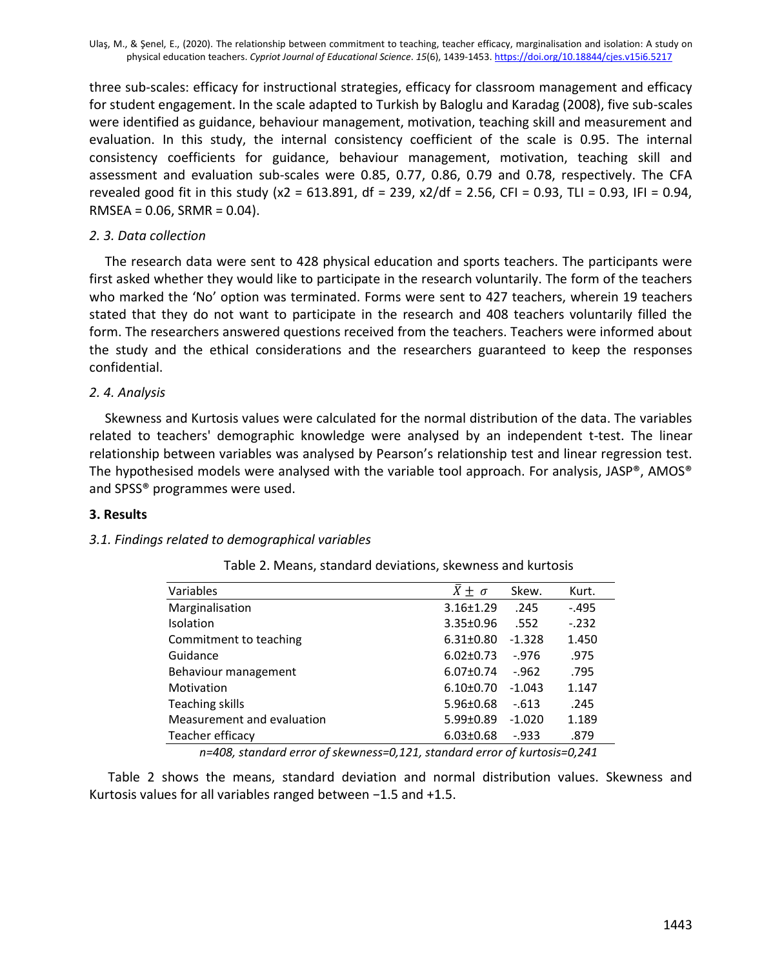three sub-scales: efficacy for instructional strategies, efficacy for classroom management and efficacy for student engagement. In the scale adapted to Turkish by Baloglu and Karadag (2008), five sub-scales were identified as guidance, behaviour management, motivation, teaching skill and measurement and evaluation. In this study, the internal consistency coefficient of the scale is 0.95. The internal consistency coefficients for guidance, behaviour management, motivation, teaching skill and assessment and evaluation sub-scales were 0.85, 0.77, 0.86, 0.79 and 0.78, respectively. The CFA revealed good fit in this study (x2 = 613.891, df = 239, x2/df = 2.56, CFI = 0.93, TLI = 0.93, IFI = 0.94,  $RMSEA = 0.06$ ,  $SRMR = 0.04$ ).

# *2. 3. Data collection*

The research data were sent to 428 physical education and sports teachers. The participants were first asked whether they would like to participate in the research voluntarily. The form of the teachers who marked the 'No' option was terminated. Forms were sent to 427 teachers, wherein 19 teachers stated that they do not want to participate in the research and 408 teachers voluntarily filled the form. The researchers answered questions received from the teachers. Teachers were informed about the study and the ethical considerations and the researchers guaranteed to keep the responses confidential.

# *2. 4. Analysis*

Skewness and Kurtosis values were calculated for the normal distribution of the data. The variables related to teachers' demographic knowledge were analysed by an independent t-test. The linear relationship between variables was analysed by Pearson's relationship test and linear regression test. The hypothesised models were analysed with the variable tool approach. For analysis, JASP®, AMOS® and SPSS® programmes were used.

## **3. Results**

## *3.1. Findings related to demographical variables*

| Variables                  | $\bar{X} \pm \sigma$ | Skew.    | Kurt.   |
|----------------------------|----------------------|----------|---------|
| Marginalisation            | $3.16 \pm 1.29$      | .245     | $-.495$ |
| <b>Isolation</b>           | $3.35 \pm 0.96$      | .552     | $-232$  |
| Commitment to teaching     | $6.31 \pm 0.80$      | $-1.328$ | 1.450   |
| Guidance                   | $6.02 \pm 0.73$      | $-976$   | .975    |
| Behaviour management       | $6.07 \pm 0.74$      | $-962$   | .795    |
| Motivation                 | $6.10 \pm 0.70$      | $-1.043$ | 1.147   |
| Teaching skills            | $5.96 \pm 0.68$      | $-613$   | .245    |
| Measurement and evaluation | $5.99 \pm 0.89$      | $-1.020$ | 1.189   |
| Teacher efficacy           | $6.03 \pm 0.68$      | $-0.933$ | .879    |
|                            |                      |          |         |

Table 2. Means, standard deviations, skewness and kurtosis

*n=408, standard error of skewness=0,121, standard error of kurtosis=0,241*

Table 2 shows the means, standard deviation and normal distribution values. Skewness and Kurtosis values for all variables ranged between −1.5 and +1.5.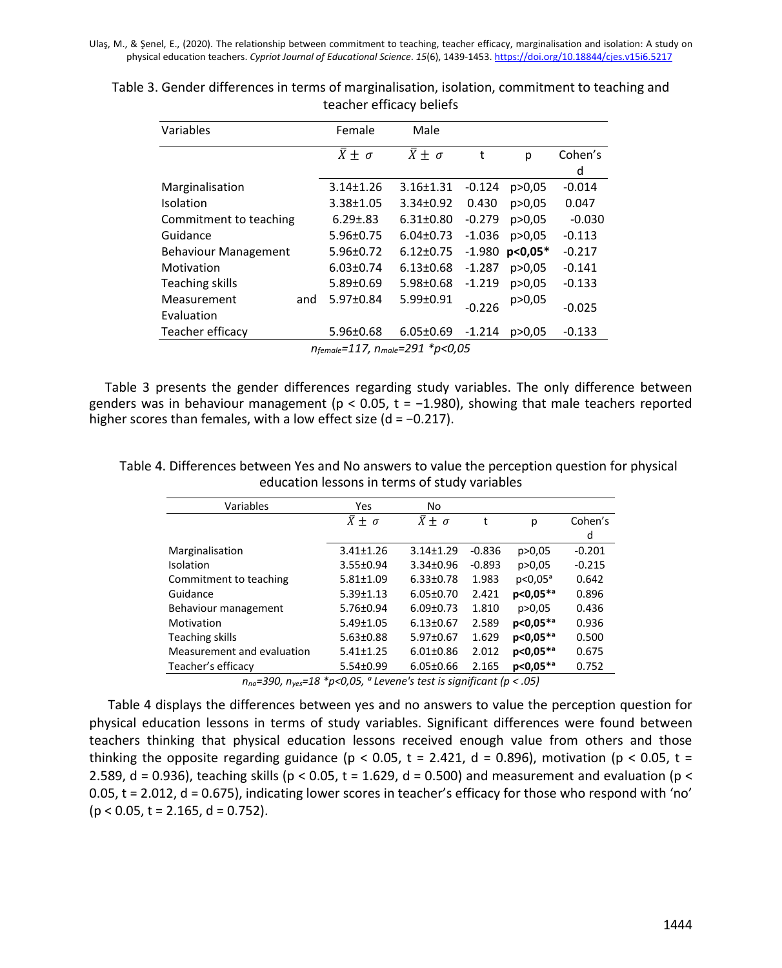| Variables                      |     | Female               | Male                 |          |           |          |  |  |  |  |
|--------------------------------|-----|----------------------|----------------------|----------|-----------|----------|--|--|--|--|
|                                |     | $\bar{X} \pm \sigma$ | $\bar{X} \pm \sigma$ | t        | р         | Cohen's  |  |  |  |  |
|                                |     |                      |                      |          |           | d        |  |  |  |  |
| Marginalisation                |     | $3.14 \pm 1.26$      | 3.16±1.31            | $-0.124$ | p > 0.05  | $-0.014$ |  |  |  |  |
| Isolation                      |     | 3.38±1.05            | 3.34±0.92            | 0.430    | p > 0.05  | 0.047    |  |  |  |  |
| Commitment to teaching         |     | $6.29 \pm .83$       | $6.31 \pm 0.80$      | $-0.279$ | p > 0.05  | $-0.030$ |  |  |  |  |
| Guidance                       |     | 5.96±0.75            | $6.04 \pm 0.73$      | $-1.036$ | p > 0.05  | $-0.113$ |  |  |  |  |
| <b>Behaviour Management</b>    |     | 5.96±0.72            | $6.12 \pm 0.75$      | $-1.980$ | $p<0.05*$ | $-0.217$ |  |  |  |  |
| Motivation                     |     | $6.03 \pm 0.74$      | $6.13 \pm 0.68$      | $-1.287$ | p > 0.05  | $-0.141$ |  |  |  |  |
| Teaching skills                |     | 5.89±0.69            | 5.98±0.68            | $-1.219$ | p > 0.05  | $-0.133$ |  |  |  |  |
| Measurement                    | and | 5.97±0.84            | 5.99±0.91            | $-0.226$ | p>0,05    | $-0.025$ |  |  |  |  |
| Evaluation                     |     |                      |                      |          |           |          |  |  |  |  |
| Teacher efficacy               |     | 5.96±0.68            | $6.05 \pm 0.69$      | $-1.214$ | p > 0.05  | $-0.133$ |  |  |  |  |
| nfemale=117, nmale=291 *p<0,05 |     |                      |                      |          |           |          |  |  |  |  |

Table 3. Gender differences in terms of marginalisation, isolation, commitment to teaching and teacher efficacy beliefs

Table 3 presents the gender differences regarding study variables. The only difference between genders was in behaviour management ( $p < 0.05$ ,  $t = -1.980$ ), showing that male teachers reported higher scores than females, with a low effect size (d = −0.217).

Table 4. Differences between Yes and No answers to value the perception question for physical education lessons in terms of study variables

| Variables                  | Yes                       | No                        |          |                     |          |
|----------------------------|---------------------------|---------------------------|----------|---------------------|----------|
|                            | $\overline{X} \pm \sigma$ | $\overline{X} \pm \sigma$ | t        | р                   | Cohen's  |
|                            |                           |                           |          |                     | d        |
| Marginalisation            | $3.41 \pm 1.26$           | $3.14 \pm 1.29$           | $-0.836$ | p > 0.05            | $-0.201$ |
| Isolation                  | 3.55±0.94                 | 3.34±0.96                 | $-0.893$ | p > 0.05            | $-0.215$ |
| Commitment to teaching     | $5.81 \pm 1.09$           | $6.33 \pm 0.78$           | 1.983    | p<0.05 <sup>a</sup> | 0.642    |
| Guidance                   | $5.39 \pm 1.13$           | $6.05 \pm 0.70$           | 2.421    | p<0,05**            | 0.896    |
| Behaviour management       | 5.76±0.94                 | $6.09 \pm 0.73$           | 1.810    | p > 0.05            | 0.436    |
| Motivation                 | 5.49±1.05                 | $6.13 \pm 0.67$           | 2.589    | p<0,05**            | 0.936    |
| Teaching skills            | $5.63 \pm 0.88$           | 5.97±0.67                 | 1.629    | p<0,05**            | 0.500    |
| Measurement and evaluation | $5.41 \pm 1.25$           | $6.01 \pm 0.86$           | 2.012    | p<0,05**            | 0.675    |
| Teacher's efficacy         | 5.54±0.99                 | $6.05 \pm 0.66$           | 2.165    | p<0,05**            | 0.752    |
|                            |                           |                           |          |                     |          |

*nno=390, nyes=18 \*p<0,05, ᵃ Levene's test is significant (p < .05)*

Table 4 displays the differences between yes and no answers to value the perception question for physical education lessons in terms of study variables. Significant differences were found between teachers thinking that physical education lessons received enough value from others and those thinking the opposite regarding guidance ( $p < 0.05$ ,  $t = 2.421$ ,  $d = 0.896$ ), motivation ( $p < 0.05$ ,  $t =$ 2.589, d = 0.936), teaching skills ( $p < 0.05$ , t = 1.629, d = 0.500) and measurement and evaluation ( $p <$ 0.05, t = 2.012, d = 0.675), indicating lower scores in teacher's efficacy for those who respond with 'no'  $(p < 0.05, t = 2.165, d = 0.752)$ .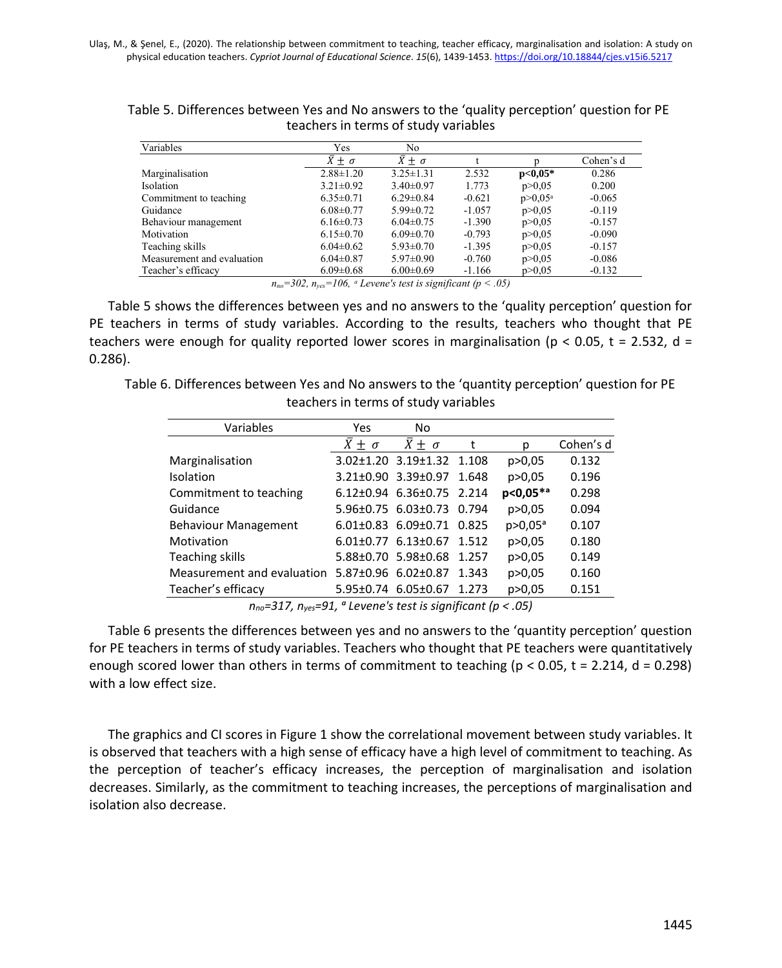| Variables                  | Yes                  | N <sub>0</sub>       |          |              |           |
|----------------------------|----------------------|----------------------|----------|--------------|-----------|
|                            | $\bar{X} \pm \sigma$ | $\bar{X} \pm \sigma$ |          |              | Cohen's d |
| Marginalisation            | $2.88 \pm 1.20$      | $3.25 \pm 1.31$      | 2.532    | $p<0,05*$    | 0.286     |
| <b>Isolation</b>           | $3.21 \pm 0.92$      | $3.40\pm0.97$        | 1.773    | p > 0.05     | 0.200     |
| Commitment to teaching     | $6.35 \pm 0.71$      | $6.29 \pm 0.84$      | $-0.621$ | $p > 0.05^a$ | $-0.065$  |
| Guidance                   | $6.08 \pm 0.77$      | $5.99 \pm 0.72$      | $-1.057$ | p > 0.05     | $-0.119$  |
| Behaviour management       | $6.16 \pm 0.73$      | $6.04 \pm 0.75$      | $-1.390$ | p > 0.05     | $-0.157$  |
| Motivation                 | $6.15 \pm 0.70$      | $6.09 \pm 0.70$      | $-0.793$ | p > 0.05     | $-0.090$  |
| Teaching skills            | $6.04 \pm 0.62$      | $5.93 \pm 0.70$      | $-1.395$ | p > 0.05     | $-0.157$  |
| Measurement and evaluation | $6.04 \pm 0.87$      | $5.97 \pm 0.90$      | $-0.760$ | p > 0.05     | $-0.086$  |
| Teacher's efficacy         | $6.09 \pm 0.68$      | $6.00 \pm 0.69$      | $-1.166$ | p > 0.05     | $-0.132$  |

Table 5. Differences between Yes and No answers to the 'quality perception' question for PE teachers in terms of study variables

 $n_{no} = 302$ ,  $n_{yes} = 106$ , *a Levene's test is significant* ( $p < .05$ )

Table 5 shows the differences between yes and no answers to the 'quality perception' question for PE teachers in terms of study variables. According to the results, teachers who thought that PE teachers were enough for quality reported lower scores in marginalisation ( $p < 0.05$ ,  $t = 2.532$ , d = 0.286).

Table 6. Differences between Yes and No answers to the 'quantity perception' question for PE teachers in terms of study variables

| Variables                                      | Yes                  | No                                |       |                         |           |
|------------------------------------------------|----------------------|-----------------------------------|-------|-------------------------|-----------|
|                                                | $\bar{X} \pm \sigma$ | $\bar{X} \pm \sigma$              |       | р                       | Cohen's d |
| Marginalisation                                |                      | 3.02±1.20 3.19±1.32 1.108         |       | p > 0.05                | 0.132     |
| Isolation                                      |                      | 3.21±0.90 3.39±0.97               | 1.648 | p > 0.05                | 0.196     |
| Commitment to teaching                         |                      | 6.12±0.94 6.36±0.75 2.214         |       | p<0,05**                | 0.298     |
| Guidance                                       |                      | 5.96±0.75 6.03±0.73               | 0.794 | p > 0.05                | 0.094     |
| <b>Behaviour Management</b>                    |                      | $6.01\pm0.83$ $6.09\pm0.71$ 0.825 |       | $p > 0.05$ <sup>a</sup> | 0.107     |
| Motivation                                     |                      | $6.01\pm0.77$ $6.13\pm0.67$       | 1.512 | p > 0.05                | 0.180     |
| Teaching skills                                |                      | 5.88±0.70 5.98±0.68               | 1.257 | p > 0.05                | 0.149     |
| Measurement and evaluation 5.87±0.96 6.02±0.87 |                      |                                   | 1.343 | p > 0.05                | 0.160     |
| Teacher's efficacy                             |                      | 5.95±0.74 6.05±0.67               | 1.273 | p>0,05                  | 0.151     |

*nno=317, nyes=91, ᵃ Levene's test is significant (p < .05)*

Table 6 presents the differences between yes and no answers to the 'quantity perception' question for PE teachers in terms of study variables. Teachers who thought that PE teachers were quantitatively enough scored lower than others in terms of commitment to teaching ( $p < 0.05$ ,  $t = 2.214$ ,  $d = 0.298$ ) with a low effect size.

The graphics and CI scores in Figure 1 show the correlational movement between study variables. It is observed that teachers with a high sense of efficacy have a high level of commitment to teaching. As the perception of teacher's efficacy increases, the perception of marginalisation and isolation decreases. Similarly, as the commitment to teaching increases, the perceptions of marginalisation and isolation also decrease.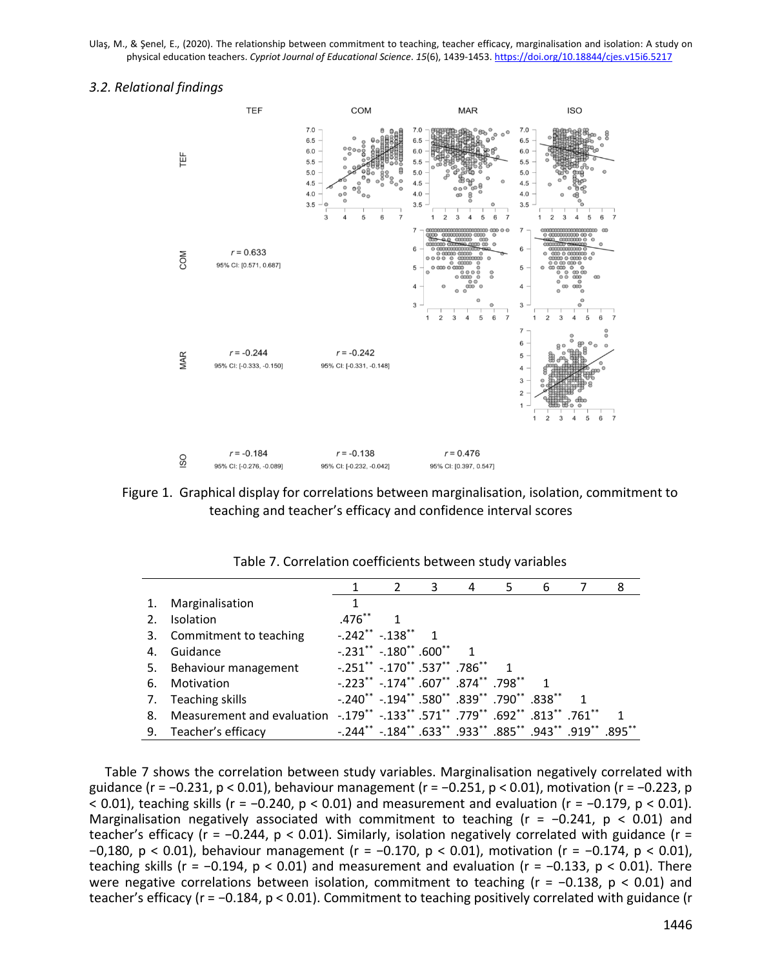#### *3.2. Relational findings*



Figure 1. Graphical display for correlations between marginalisation, isolation, commitment to teaching and teacher's efficacy and confidence interval scores

|    |                                                                               |                                                               |              | 3 | 4 | 5 | 6 | 8 |
|----|-------------------------------------------------------------------------------|---------------------------------------------------------------|--------------|---|---|---|---|---|
|    | Marginalisation                                                               |                                                               |              |   |   |   |   |   |
| 2. | <b>Isolation</b>                                                              | $.476***$                                                     | $\mathbf{1}$ |   |   |   |   |   |
|    | 3. Commitment to teaching                                                     | $-.242$ $-.138$ $*$                                           |              |   |   |   |   |   |
| 4. | Guidance                                                                      | $-.231$ ** $-.180$ ** $.600$ ** 1                             |              |   |   |   |   |   |
|    | 5. Behaviour management                                                       | $-.251$ $*$ $-.170$ $*$ $.537$ $*$ $.786$ $*$                 |              |   |   |   |   |   |
| 6. | Motivation                                                                    | $-0.223$ ** $-0.174$ ** $0.607$ ** $0.874$ ** $0.798$ ** 1    |              |   |   |   |   |   |
| 7. | Teaching skills                                                               | $-.240$ ** $-.194$ ** $.580$ ** $.839$ ** $.790$ ** $.838$ ** |              |   |   |   |   |   |
| 8. | Measurement and evaluation -.179** -.133** .571** .779** .692** .813** .761** |                                                               |              |   |   |   |   |   |
|    | 9. Teacher's efficacy                                                         | -.244** -.184** .633** .933** .885** .943** .919** .895**     |              |   |   |   |   |   |

Table 7. Correlation coefficients between study variables

Table 7 shows the correlation between study variables. Marginalisation negatively correlated with guidance (r = −0.231, p < 0.01), behaviour management (r = −0.251, p < 0.01), motivation (r = −0.223, p < 0.01), teaching skills (r = −0.240, p < 0.01) and measurement and evaluation (r = −0.179, p < 0.01). Marginalisation negatively associated with commitment to teaching ( $r = -0.241$ ,  $p < 0.01$ ) and teacher's efficacy (r = −0.244, p < 0.01). Similarly, isolation negatively correlated with guidance (r = −0,180, p < 0.01), behaviour management (r = −0.170, p < 0.01), motivation (r = −0.174, p < 0.01), teaching skills (r = -0.194,  $p < 0.01$ ) and measurement and evaluation (r = -0.133,  $p < 0.01$ ). There were negative correlations between isolation, commitment to teaching (r = −0.138, p < 0.01) and teacher's efficacy (r = −0.184, p < 0.01). Commitment to teaching positively correlated with guidance (r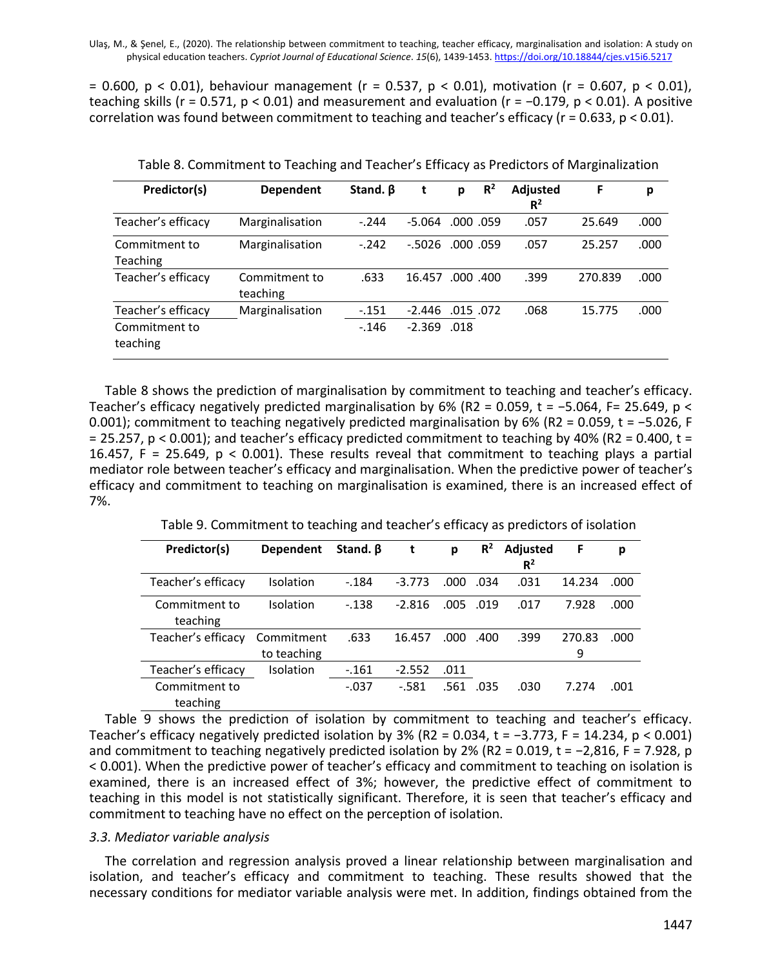$= 0.600$ , p < 0.01), behaviour management (r = 0.537, p < 0.01), motivation (r = 0.607, p < 0.01), teaching skills (r = 0.571, p < 0.01) and measurement and evaluation (r =  $-0.179$ , p < 0.01). A positive correlation was found between commitment to teaching and teacher's efficacy (r = 0.633, p < 0.01).

| Predictor(s)              | <b>Dependent</b>          | Stand. B | t        | р         | $R^2$     | <b>Adjusted</b><br>$R^2$ | F       | p    |
|---------------------------|---------------------------|----------|----------|-----------|-----------|--------------------------|---------|------|
| Teacher's efficacy        | Marginalisation           | $-.244$  | $-5.064$ | .000 .059 |           | .057                     | 25.649  | .000 |
| Commitment to<br>Teaching | Marginalisation           | $-.242$  | $-.5026$ | .000 .059 |           | .057                     | 25.257  | .000 |
| Teacher's efficacy        | Commitment to<br>teaching | .633     | 16.457   |           | .000 .400 | .399                     | 270.839 | .000 |
| Teacher's efficacy        | Marginalisation           | $-151$   | $-2.446$ | .015 .072 |           | .068                     | 15.775  | .000 |
| Commitment to<br>teaching |                           | $-146$   | $-2.369$ | .018      |           |                          |         |      |

Table 8. Commitment to Teaching and Teacher's Efficacy as Predictors of Marginalization

Table 8 shows the prediction of marginalisation by commitment to teaching and teacher's efficacy. Teacher's efficacy negatively predicted marginalisation by 6% (R2 = 0.059, t = −5.064, F= 25.649, p < 0.001); commitment to teaching negatively predicted marginalisation by 6% (R2 = 0.059, t = −5.026, F = 25.257,  $p < 0.001$ ); and teacher's efficacy predicted commitment to teaching by 40% (R2 = 0.400, t = 16.457, F = 25.649, p < 0.001). These results reveal that commitment to teaching plays a partial mediator role between teacher's efficacy and marginalisation. When the predictive power of teacher's efficacy and commitment to teaching on marginalisation is examined, there is an increased effect of 7%.

| Predictor(s)       | <b>Dependent</b> | Stand. B | t        | р    | $R^2$ | Adjusted | F      | р    |
|--------------------|------------------|----------|----------|------|-------|----------|--------|------|
|                    |                  |          |          |      |       | $R^2$    |        |      |
| Teacher's efficacy | Isolation        | $-.184$  | $-3.773$ | .000 | .034  | .031     | 14.234 | .000 |
| Commitment to      | Isolation        | $-0.138$ | $-2.816$ | .005 | .019  | .017     | 7.928  | .000 |
| teaching           |                  |          |          |      |       |          |        |      |
| Teacher's efficacy | Commitment       | .633     | 16.457   | .000 | .400  | .399     | 270.83 | .000 |
|                    | to teaching      |          |          |      |       |          | 9      |      |
| Teacher's efficacv | <b>Isolation</b> | $-161$   | $-2.552$ | .011 |       |          |        |      |
| Commitment to      |                  | $-.037$  | $-581$   | .561 | .035  | .030     | 7.274  | .001 |
| teaching           |                  |          |          |      |       |          |        |      |

Table 9 shows the prediction of isolation by commitment to teaching and teacher's efficacy. Teacher's efficacy negatively predicted isolation by 3% (R2 = 0.034, t = −3.773, F = 14.234, p < 0.001) and commitment to teaching negatively predicted isolation by 2% (R2 = 0.019, t = −2,816, F = 7.928, p < 0.001). When the predictive power of teacher's efficacy and commitment to teaching on isolation is examined, there is an increased effect of 3%; however, the predictive effect of commitment to teaching in this model is not statistically significant. Therefore, it is seen that teacher's efficacy and commitment to teaching have no effect on the perception of isolation.

### *3.3. Mediator variable analysis*

The correlation and regression analysis proved a linear relationship between marginalisation and isolation, and teacher's efficacy and commitment to teaching. These results showed that the necessary conditions for mediator variable analysis were met. In addition, findings obtained from the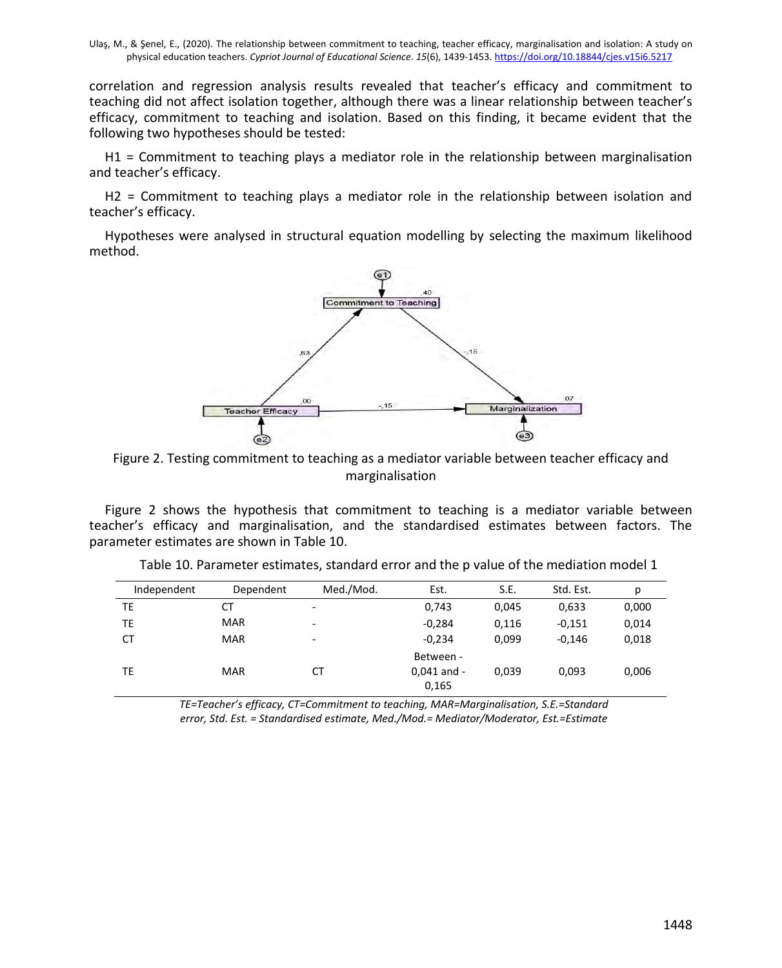correlation and regression analysis results revealed that teacher's efficacy and commitment to teaching did not affect isolation together, although there was a linear relationship between teacher's efficacy, commitment to teaching and isolation. Based on this finding, it became evident that the following two hypotheses should be tested:

H1 = Commitment to teaching plays a mediator role in the relationship between marginalisation and teacher's efficacy.

H2 = Commitment to teaching plays a mediator role in the relationship between isolation and teacher's efficacy.

Hypotheses were analysed in structural equation modelling by selecting the maximum likelihood method.



Figure 2. Testing commitment to teaching as a mediator variable between teacher efficacy and marginalisation

Figure 2 shows the hypothesis that commitment to teaching is a mediator variable between teacher's efficacy and marginalisation, and the standardised estimates between factors. The parameter estimates are shown in Table 10.

| Independent | Dependent  | Med./Mod.                | Est.                                | S.E.  | Std. Est. | р     |
|-------------|------------|--------------------------|-------------------------------------|-------|-----------|-------|
| TE          | СT         | $\overline{a}$           | 0,743                               | 0,045 | 0,633     | 0,000 |
| TE          | <b>MAR</b> | $\overline{\phantom{0}}$ | $-0,284$                            | 0,116 | $-0,151$  | 0,014 |
| <b>CT</b>   | <b>MAR</b> | -                        | $-0,234$                            | 0,099 | $-0.146$  | 0,018 |
| ТE          | <b>MAR</b> | СT                       | Between -<br>$0.041$ and -<br>0,165 | 0.039 | 0.093     | 0,006 |

Table 10. Parameter estimates, standard error and the p value of the mediation model 1

*TE=Teacher's efficacy, CT=Commitment to teaching, MAR=Marginalisation, S.E.=Standard error, Std. Est. = Standardised estimate, Med./Mod.= Mediator/Moderator, Est.=Estimate*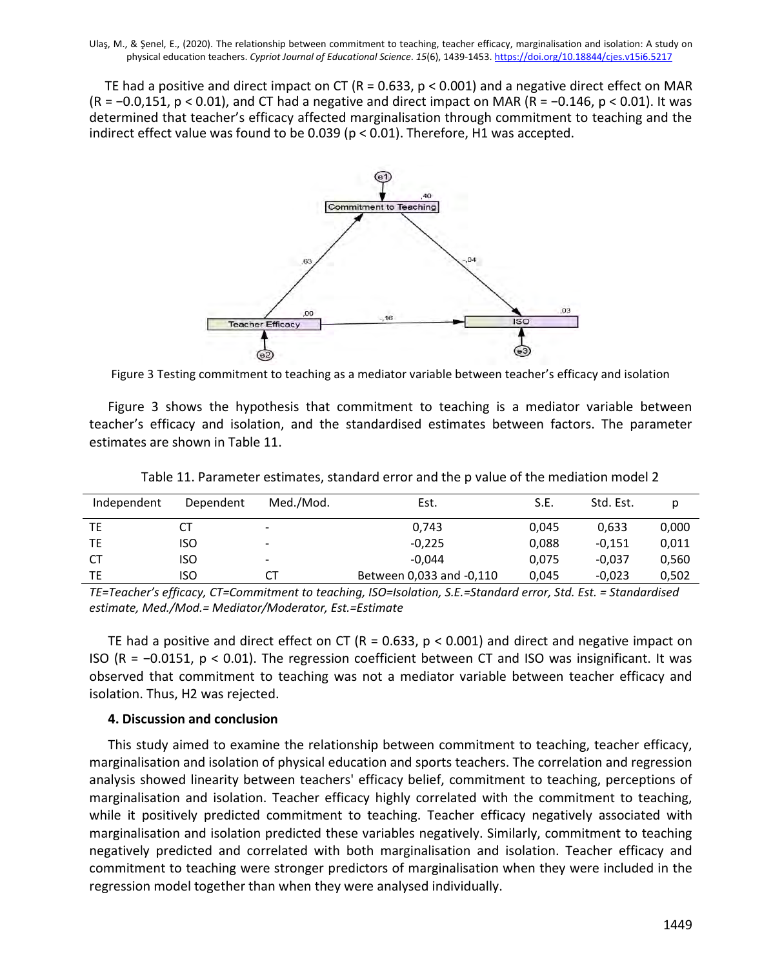TE had a positive and direct impact on CT (R = 0.633, p < 0.001) and a negative direct effect on MAR (R = −0.0,151, p < 0.01), and CT had a negative and direct impact on MAR (R = −0.146, p < 0.01). It was determined that teacher's efficacy affected marginalisation through commitment to teaching and the indirect effect value was found to be 0.039 (p < 0.01). Therefore, H1 was accepted.



Figure 3 Testing commitment to teaching as a mediator variable between teacher's efficacy and isolation

Figure 3 shows the hypothesis that commitment to teaching is a mediator variable between teacher's efficacy and isolation, and the standardised estimates between factors. The parameter estimates are shown in Table 11.

| Independent | Dependent | Med./Mod.                | Est.                     | S.E.  | Std. Est. | р     |
|-------------|-----------|--------------------------|--------------------------|-------|-----------|-------|
| TE          | СT        | $\overline{\phantom{0}}$ | 0,743                    | 0.045 | 0.633     | 0,000 |
| ТE          | ISO       | $\overline{\phantom{0}}$ | $-0,225$                 | 0,088 | -0.151    | 0,011 |
| СT          | iso       | $\overline{\phantom{0}}$ | $-0.044$                 | 0,075 | $-0.037$  | 0,560 |
| ТE          | iso       | СT                       | Between 0,033 and -0,110 | 0,045 | $-0.023$  | 0,502 |

Table 11. Parameter estimates, standard error and the p value of the mediation model 2

*TE=Teacher's efficacy, CT=Commitment to teaching, ISO=Isolation, S.E.=Standard error, Std. Est. = Standardised estimate, Med./Mod.= Mediator/Moderator, Est.=Estimate*

TE had a positive and direct effect on CT (R = 0.633, p < 0.001) and direct and negative impact on ISO (R = −0.0151, p < 0.01). The regression coefficient between CT and ISO was insignificant. It was observed that commitment to teaching was not a mediator variable between teacher efficacy and isolation. Thus, H2 was rejected.

## **4. Discussion and conclusion**

This study aimed to examine the relationship between commitment to teaching, teacher efficacy, marginalisation and isolation of physical education and sports teachers. The correlation and regression analysis showed linearity between teachers' efficacy belief, commitment to teaching, perceptions of marginalisation and isolation. Teacher efficacy highly correlated with the commitment to teaching, while it positively predicted commitment to teaching. Teacher efficacy negatively associated with marginalisation and isolation predicted these variables negatively. Similarly, commitment to teaching negatively predicted and correlated with both marginalisation and isolation. Teacher efficacy and commitment to teaching were stronger predictors of marginalisation when they were included in the regression model together than when they were analysed individually.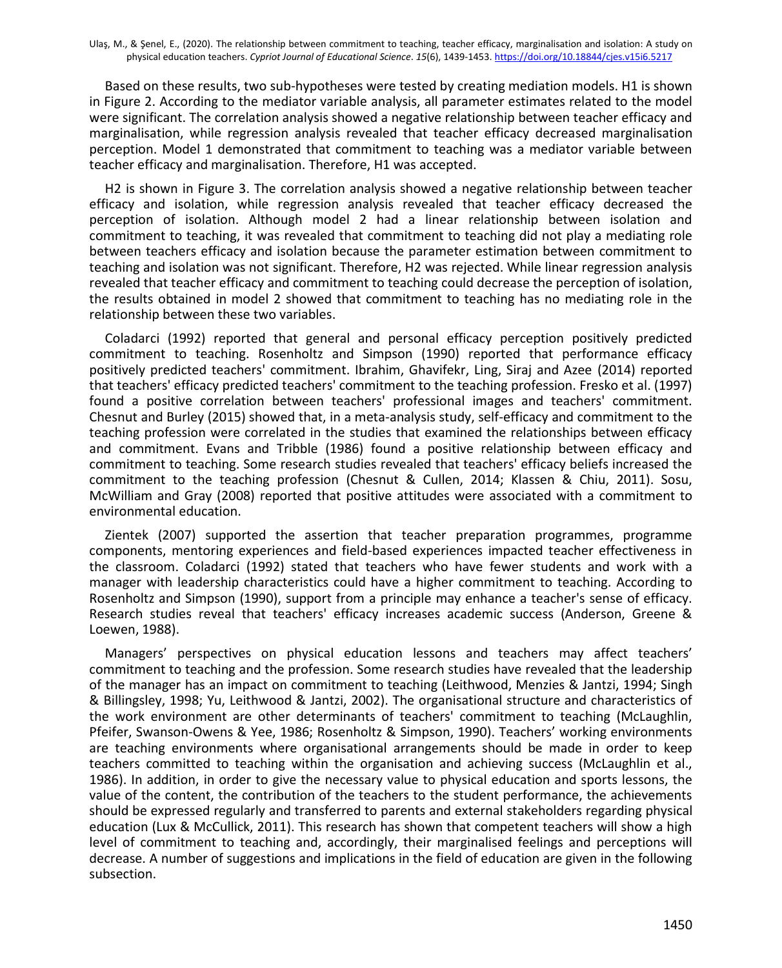Based on these results, two sub-hypotheses were tested by creating mediation models. H1 is shown in Figure 2. According to the mediator variable analysis, all parameter estimates related to the model were significant. The correlation analysis showed a negative relationship between teacher efficacy and marginalisation, while regression analysis revealed that teacher efficacy decreased marginalisation perception. Model 1 demonstrated that commitment to teaching was a mediator variable between teacher efficacy and marginalisation. Therefore, H1 was accepted.

H2 is shown in Figure 3. The correlation analysis showed a negative relationship between teacher efficacy and isolation, while regression analysis revealed that teacher efficacy decreased the perception of isolation. Although model 2 had a linear relationship between isolation and commitment to teaching, it was revealed that commitment to teaching did not play a mediating role between teachers efficacy and isolation because the parameter estimation between commitment to teaching and isolation was not significant. Therefore, H2 was rejected. While linear regression analysis revealed that teacher efficacy and commitment to teaching could decrease the perception of isolation, the results obtained in model 2 showed that commitment to teaching has no mediating role in the relationship between these two variables.

Coladarci (1992) reported that general and personal efficacy perception positively predicted commitment to teaching. Rosenholtz and Simpson (1990) reported that performance efficacy positively predicted teachers' commitment. Ibrahim, Ghavifekr, Ling, Siraj and Azee (2014) reported that teachers' efficacy predicted teachers' commitment to the teaching profession. Fresko et al. (1997) found a positive correlation between teachers' professional images and teachers' commitment. Chesnut and Burley (2015) showed that, in a meta-analysis study, self-efficacy and commitment to the teaching profession were correlated in the studies that examined the relationships between efficacy and commitment. Evans and Tribble (1986) found a positive relationship between efficacy and commitment to teaching. Some research studies revealed that teachers' efficacy beliefs increased the commitment to the teaching profession (Chesnut & Cullen, 2014; Klassen & Chiu, 2011). Sosu, McWilliam and Gray (2008) reported that positive attitudes were associated with a commitment to environmental education.

Zientek (2007) supported the assertion that teacher preparation programmes, programme components, mentoring experiences and field-based experiences impacted teacher effectiveness in the classroom. Coladarci (1992) stated that teachers who have fewer students and work with a manager with leadership characteristics could have a higher commitment to teaching. According to Rosenholtz and Simpson (1990), support from a principle may enhance a teacher's sense of efficacy. Research studies reveal that teachers' efficacy increases academic success (Anderson, Greene & Loewen, 1988).

Managers' perspectives on physical education lessons and teachers may affect teachers' commitment to teaching and the profession. Some research studies have revealed that the leadership of the manager has an impact on commitment to teaching (Leithwood, Menzies & Jantzi, 1994; Singh & Billingsley, 1998; Yu, Leithwood & Jantzi, 2002). The organisational structure and characteristics of the work environment are other determinants of teachers' commitment to teaching (McLaughlin, Pfeifer, Swanson-Owens & Yee, 1986; Rosenholtz & Simpson, 1990). Teachers' working environments are teaching environments where organisational arrangements should be made in order to keep teachers committed to teaching within the organisation and achieving success (McLaughlin et al., 1986). In addition, in order to give the necessary value to physical education and sports lessons, the value of the content, the contribution of the teachers to the student performance, the achievements should be expressed regularly and transferred to parents and external stakeholders regarding physical education (Lux & McCullick, 2011). This research has shown that competent teachers will show a high level of commitment to teaching and, accordingly, their marginalised feelings and perceptions will decrease. A number of suggestions and implications in the field of education are given in the following subsection.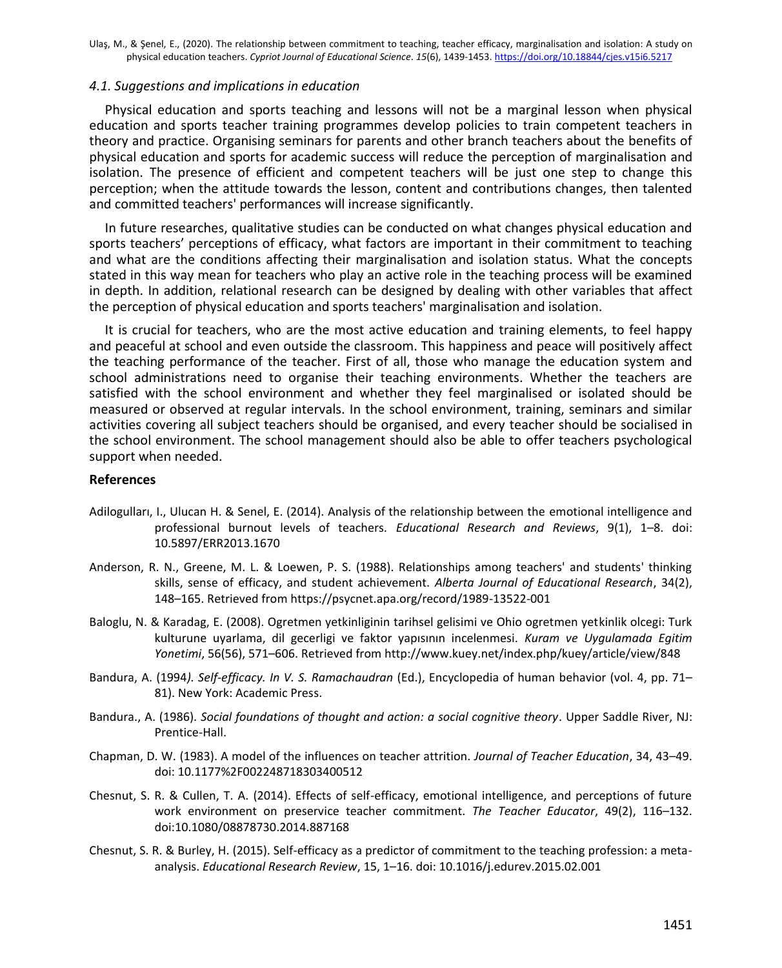#### *4.1. Suggestions and implications in education*

Physical education and sports teaching and lessons will not be a marginal lesson when physical education and sports teacher training programmes develop policies to train competent teachers in theory and practice. Organising seminars for parents and other branch teachers about the benefits of physical education and sports for academic success will reduce the perception of marginalisation and isolation. The presence of efficient and competent teachers will be just one step to change this perception; when the attitude towards the lesson, content and contributions changes, then talented and committed teachers' performances will increase significantly.

In future researches, qualitative studies can be conducted on what changes physical education and sports teachers' perceptions of efficacy, what factors are important in their commitment to teaching and what are the conditions affecting their marginalisation and isolation status. What the concepts stated in this way mean for teachers who play an active role in the teaching process will be examined in depth. In addition, relational research can be designed by dealing with other variables that affect the perception of physical education and sports teachers' marginalisation and isolation.

It is crucial for teachers, who are the most active education and training elements, to feel happy and peaceful at school and even outside the classroom. This happiness and peace will positively affect the teaching performance of the teacher. First of all, those who manage the education system and school administrations need to organise their teaching environments. Whether the teachers are satisfied with the school environment and whether they feel marginalised or isolated should be measured or observed at regular intervals. In the school environment, training, seminars and similar activities covering all subject teachers should be organised, and every teacher should be socialised in the school environment. The school management should also be able to offer teachers psychological support when needed.

#### **References**

- Adilogulları, I., Ulucan H. & Senel, E. (2014). Analysis of the relationship between the emotional intelligence and professional burnout levels of teachers*. Educational Research and Reviews*, 9(1), 1–8. doi: 10.5897/ERR2013.1670
- Anderson, R. N., Greene, M. L. & Loewen, P. S. (1988). Relationships among teachers' and students' thinking skills, sense of efficacy, and student achievement. *Alberta Journal of Educational Research*, 34(2), 148–165. Retrieved from https://psycnet.apa.org/record/1989-13522-001
- Baloglu, N. & Karadag, E. (2008). Ogretmen yetkinliginin tarihsel gelisimi ve Ohio ogretmen yetkinlik olcegi: Turk kulturune uyarlama, dil gecerligi ve faktor yapısının incelenmesi. *Kuram ve Uygulamada Egitim Yonetimi*, 56(56), 571–606. Retrieved from http://www.kuey.net/index.php/kuey/article/view/848
- Bandura, A. (1994*). Self-efficacy. In V. S. Ramachaudran* (Ed.), Encyclopedia of human behavior (vol. 4, pp. 71– 81). New York: Academic Press.
- Bandura., A. (1986). *Social foundations of thought and action: a social cognitive theory*. Upper Saddle River, NJ: Prentice-Hall.
- Chapman, D. W. (1983). A model of the influences on teacher attrition. *Journal of Teacher Education*, 34, 43–49. doi: 10.1177%2F002248718303400512
- Chesnut, S. R. & Cullen, T. A. (2014). Effects of self-efficacy, emotional intelligence, and perceptions of future work environment on preservice teacher commitment. *The Teacher Educator*, 49(2), 116–132. doi:10.1080/08878730.2014.887168
- Chesnut, S. R. & Burley, H. (2015). Self-efficacy as a predictor of commitment to the teaching profession: a metaanalysis. *Educational Research Review*, 15, 1–16. doi: 10.1016/j.edurev.2015.02.001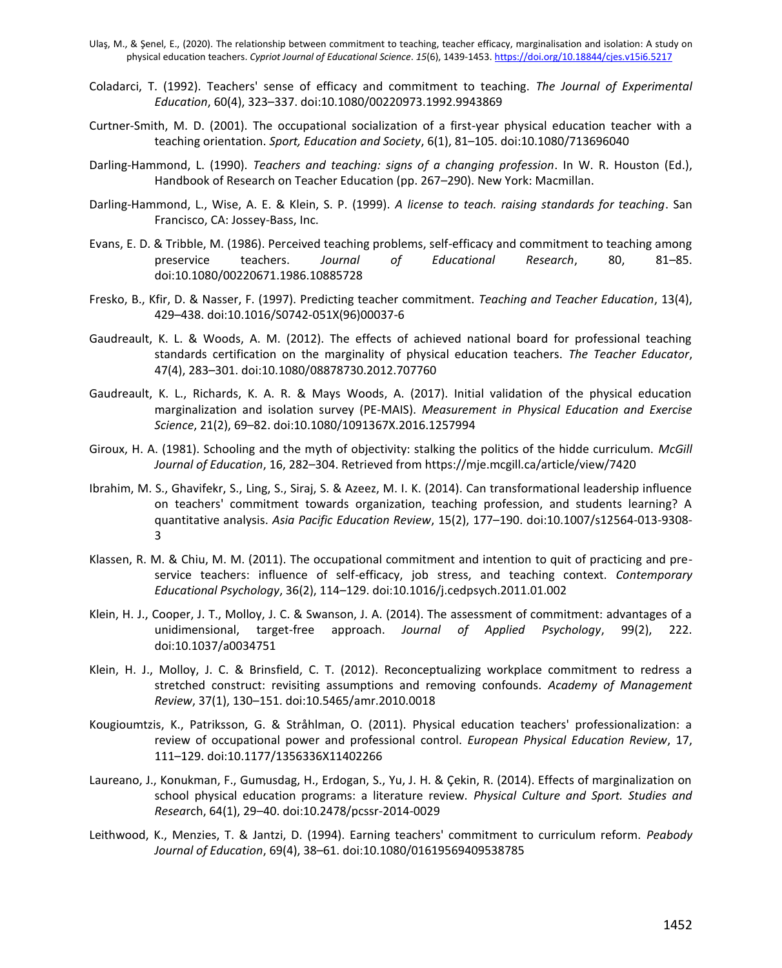- Coladarci, T. (1992). Teachers' sense of efficacy and commitment to teaching. *The Journal of Experimental Education*, 60(4), 323–337. doi:10.1080/00220973.1992.9943869
- Curtner-Smith, M. D. (2001). The occupational socialization of a first-year physical education teacher with a teaching orientation. *Sport, Education and Society*, 6(1), 81–105. doi:10.1080/713696040
- Darling-Hammond, L. (1990). *Teachers and teaching: signs of a changing profession*. In W. R. Houston (Ed.), Handbook of Research on Teacher Education (pp. 267–290). New York: Macmillan.
- Darling-Hammond, L., Wise, A. E. & Klein, S. P. (1999). *A license to teach. raising standards for teaching*. San Francisco, CA: Jossey-Bass, Inc.
- Evans, E. D. & Tribble, M. (1986). Perceived teaching problems, self-efficacy and commitment to teaching among preservice teachers. *Journal of Educational Research*, 80, 81–85. doi:10.1080/00220671.1986.10885728
- Fresko, B., Kfir, D. & Nasser, F. (1997). Predicting teacher commitment. *Teaching and Teacher Education*, 13(4), 429–438. doi:10.1016/S0742-051X(96)00037-6
- Gaudreault, K. L. & Woods, A. M. (2012). The effects of achieved national board for professional teaching standards certification on the marginality of physical education teachers. *The Teacher Educator*, 47(4), 283–301. doi:10.1080/08878730.2012.707760
- Gaudreault, K. L., Richards, K. A. R. & Mays Woods, A. (2017). Initial validation of the physical education marginalization and isolation survey (PE-MAIS). *Measurement in Physical Education and Exercise Science*, 21(2), 69–82. doi:10.1080/1091367X.2016.1257994
- Giroux, H. A. (1981). Schooling and the myth of objectivity: stalking the politics of the hidde curriculum. *McGill Journal of Education*, 16, 282–304. Retrieved from https://mje.mcgill.ca/article/view/7420
- Ibrahim, M. S., Ghavifekr, S., Ling, S., Siraj, S. & Azeez, M. I. K. (2014). Can transformational leadership influence on teachers' commitment towards organization, teaching profession, and students learning? A quantitative analysis. *Asia Pacific Education Review*, 15(2), 177–190. doi:10.1007/s12564-013-9308- 3
- Klassen, R. M. & Chiu, M. M. (2011). The occupational commitment and intention to quit of practicing and preservice teachers: influence of self-efficacy, job stress, and teaching context. *Contemporary Educational Psychology*, 36(2), 114–129. doi:10.1016/j.cedpsych.2011.01.002
- Klein, H. J., Cooper, J. T., Molloy, J. C. & Swanson, J. A. (2014). The assessment of commitment: advantages of a unidimensional, target-free approach. *Journal of Applied Psychology*, 99(2), 222. doi:10.1037/a0034751
- Klein, H. J., Molloy, J. C. & Brinsfield, C. T. (2012). Reconceptualizing workplace commitment to redress a stretched construct: revisiting assumptions and removing confounds. *Academy of Management Review*, 37(1), 130–151. doi:10.5465/amr.2010.0018
- Kougioumtzis, K., Patriksson, G. & Stråhlman, O. (2011). Physical education teachers' professionalization: a review of occupational power and professional control. *European Physical Education Review*, 17, 111–129. doi:10.1177/1356336X11402266
- Laureano, J., Konukman, F., Gumusdag, H., Erdogan, S., Yu, J. H. & Çekin, R. (2014). Effects of marginalization on school physical education programs: a literature review. *Physical Culture and Sport. Studies and Resea*rch, 64(1), 29–40. doi:10.2478/pcssr-2014-0029
- Leithwood, K., Menzies, T. & Jantzi, D. (1994). Earning teachers' commitment to curriculum reform. *Peabody Journal of Education*, 69(4), 38–61. doi:10.1080/01619569409538785